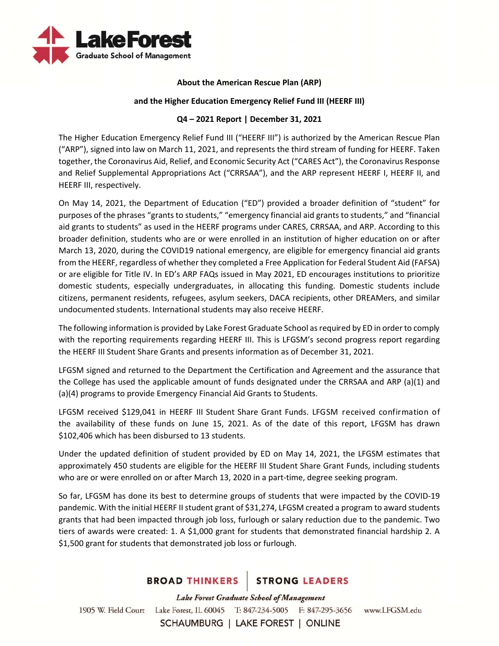

## **About the American Rescue Plan (ARP)**

## **and the Higher Education Emergency Relief Fund III (HEERF III)**

## **Q4 – 2021 Report | December 31, 2021**

The Higher Education Emergency Relief Fund III ("HEERF III") is authorized by the American Rescue Plan ("ARP"), signed into law on March 11, 2021, and represents the third stream of funding for HEERF. Taken together, the Coronavirus Aid, Relief, and Economic Security Act ("CARES Act"), the Coronavirus Response and Relief Supplemental Appropriations Act ("CRRSAA"), and the ARP represent HEERF I, HEERF II, and HEERF III, respectively.

On May 14, 2021, the Department of Education ("ED") provided a broader definition of "student" for purposes of the phrases "grants to students," "emergency financial aid grants to students," and "financial aid grants to students" as used in the HEERF programs under CARES, CRRSAA, and ARP. According to this broader definition, students who are or were enrolled in an institution of higher education on or after March 13, 2020, during the COVID19 national emergency, are eligible for emergency financial aid grants from the HEERF, regardless of whether they completed a Free Application for Federal Student Aid (FAFSA) or are eligible for Title IV. In ED's ARP FAQs issued in May 2021, ED encourages institutions to prioritize domestic students, especially undergraduates, in allocating this funding. Domestic students include citizens, permanent residents, refugees, asylum seekers, DACA recipients, other DREAMers, and similar undocumented students. International students may also receive HEERF.

The following information is provided by Lake Forest Graduate School as required by ED in order to comply with the reporting requirements regarding HEERF III. This is LFGSM's second progress report regarding the HEERF III Student Share Grants and presents information as of December 31, 2021.

LFGSM signed and returned to the Department the Certification and Agreement and the assurance that the College has used the applicable amount of funds designated under the CRRSAA and ARP (a)(1) and (a)(4) programs to provide Emergency Financial Aid Grants to Students.

LFGSM received \$129,041 in HEERF III Student Share Grant Funds. LFGSM received confirmation of the availability of these funds on June 15, 2021. As of the date of this report, LFGSM has drawn \$102,406 which has been disbursed to 13 students.

Under the updated definition of student provided by ED on May 14, 2021, the LFGSM estimates that approximately 450 students are eligible for the HEERF III Student Share Grant Funds, including students who are or were enrolled on or after March 13, 2020 in a part-time, degree seeking program.

So far, LFGSM has done its best to determine groups of students that were impacted by the COVID‐19 pandemic. With the initial HEERF II student grant of \$31,274, LFGSM created a program to award students grants that had been impacted through job loss, furlough or salary reduction due to the pandemic. Two tiers of awards were created: 1. A \$1,000 grant for students that demonstrated financial hardship 2. A \$1,500 grant for students that demonstrated job loss or furlough.

# BROAD THINKERS STRONG LEADERS

Lake Forest Graduate School of Management 1905 W. Field Court Lake Forest, IL 60045 T: 847-234-5005 F: 847-295-3656 www.LFGSM.edu SCHAUMBURG | LAKE FOREST | ONLINE